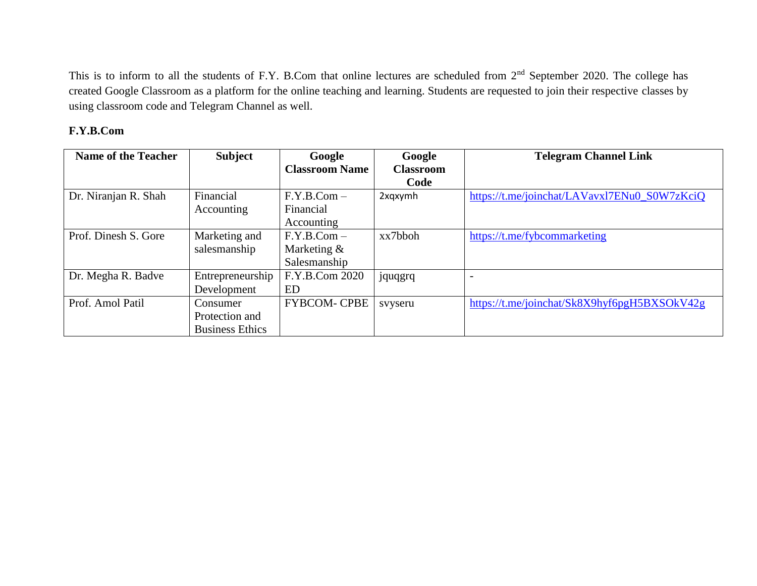This is to inform to all the students of F.Y. B.Com that online lectures are scheduled from 2<sup>nd</sup> September 2020. The college has created Google Classroom as a platform for the online teaching and learning. Students are requested to join their respective classes by using classroom code and Telegram Channel as well.

## **F.Y.B.Com**

| <b>Name of the Teacher</b> | <b>Subject</b>         | Google                | Google           | <b>Telegram Channel Link</b>                 |
|----------------------------|------------------------|-----------------------|------------------|----------------------------------------------|
|                            |                        | <b>Classroom Name</b> | <b>Classroom</b> |                                              |
|                            |                        |                       | Code             |                                              |
| Dr. Niranjan R. Shah       | Financial              | $F.Y.B.Com -$         | 2xgxymh          | https://t.me/joinchat/LAVavxl7ENu0_S0W7zKciQ |
|                            | Accounting             | Financial             |                  |                                              |
|                            |                        | Accounting            |                  |                                              |
| Prof. Dinesh S. Gore       | Marketing and          | $F.Y.B.Com -$         | xx7bboh          | https://t.me/fybcommarketing                 |
|                            | salesmanship           | Marketing $\&$        |                  |                                              |
|                            |                        | Salesmanship          |                  |                                              |
| Dr. Megha R. Badve         | Entrepreneurship       | F.Y.B.Com 2020        | jquqgrq          |                                              |
|                            | Development            | <b>ED</b>             |                  |                                              |
| Prof. Amol Patil           | Consumer               | <b>FYBCOM- CPBE</b>   | svyseru          | https://t.me/joinchat/Sk8X9hyf6pgH5BXSOkV42g |
|                            | Protection and         |                       |                  |                                              |
|                            | <b>Business Ethics</b> |                       |                  |                                              |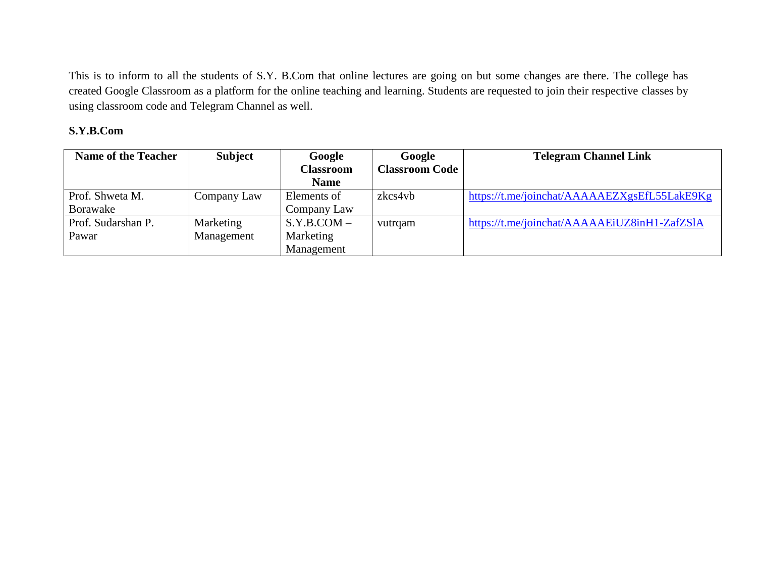This is to inform to all the students of S.Y. B.Com that online lectures are going on but some changes are there. The college has created Google Classroom as a platform for the online teaching and learning. Students are requested to join their respective classes by using classroom code and Telegram Channel as well.

## **S.Y.B.Com**

| <b>Name of the Teacher</b> | <b>Subject</b> | Google           | Google                | <b>Telegram Channel Link</b>                 |
|----------------------------|----------------|------------------|-----------------------|----------------------------------------------|
|                            |                | <b>Classroom</b> | <b>Classroom Code</b> |                                              |
|                            |                | <b>Name</b>      |                       |                                              |
| Prof. Shweta M.            | Company Law    | Elements of      | zkcs4vb               | https://t.me/joinchat/AAAAAEZXgsEfL55LakE9Kg |
| Borawake                   |                | Company Law      |                       |                                              |
| Prof. Sudarshan P.         | Marketing      | $S.Y.B. COM -$   | vutrqam               | https://t.me/joinchat/AAAAAEiUZ8inH1-ZafZSlA |
| Pawar                      | Management     | Marketing        |                       |                                              |
|                            |                | Management       |                       |                                              |